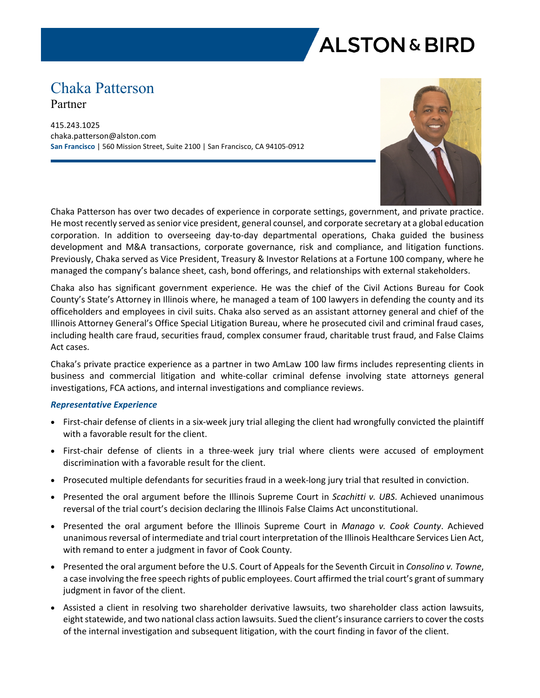# **ALSTON & BIRD**

# Chaka Patterson Partner

415.243.1025 chaka.patterson@alston.com **San Francisco** | 560 Mission Street, Suite 2100 | San Francisco, CA 94105-0912



Chaka Patterson has over two decades of experience in corporate settings, government, and private practice. He most recently served as senior vice president, general counsel, and corporate secretary at a global education corporation. In addition to overseeing day-to-day departmental operations, Chaka guided the business development and M&A transactions, corporate governance, risk and compliance, and litigation functions. Previously, Chaka served as Vice President, Treasury & Investor Relations at a Fortune 100 company, where he managed the company's balance sheet, cash, bond offerings, and relationships with external stakeholders.

Chaka also has significant government experience. He was the chief of the Civil Actions Bureau for Cook County's State's Attorney in Illinois where, he managed a team of 100 lawyers in defending the county and its officeholders and employees in civil suits. Chaka also served as an assistant attorney general and chief of the Illinois Attorney General's Office Special Litigation Bureau, where he prosecuted civil and criminal fraud cases, including health care fraud, securities fraud, complex consumer fraud, charitable trust fraud, and False Claims Act cases.

Chaka's private practice experience as a partner in two AmLaw 100 law firms includes representing clients in business and commercial litigation and white-collar criminal defense involving state attorneys general investigations, FCA actions, and internal investigations and compliance reviews.

#### *Representative Experience*

- First-chair defense of clients in a six-week jury trial alleging the client had wrongfully convicted the plaintiff with a favorable result for the client.
- First-chair defense of clients in a three-week jury trial where clients were accused of employment discrimination with a favorable result for the client.
- Prosecuted multiple defendants for securities fraud in a week-long jury trial that resulted in conviction.
- Presented the oral argument before the Illinois Supreme Court in *Scachitti v. UBS*. Achieved unanimous reversal of the trial court's decision declaring the Illinois False Claims Act unconstitutional.
- Presented the oral argument before the Illinois Supreme Court in *Manago v. Cook County*. Achieved unanimous reversal of intermediate and trial court interpretation of the Illinois Healthcare Services Lien Act, with remand to enter a judgment in favor of Cook County.
- Presented the oral argument before the U.S. Court of Appeals for the Seventh Circuit in *Consolino v. Towne*, a case involving the free speech rights of public employees. Court affirmed the trial court's grant of summary judgment in favor of the client.
- Assisted a client in resolving two shareholder derivative lawsuits, two shareholder class action lawsuits, eight statewide, and two national class action lawsuits. Sued the client's insurance carriers to cover the costs of the internal investigation and subsequent litigation, with the court finding in favor of the client.